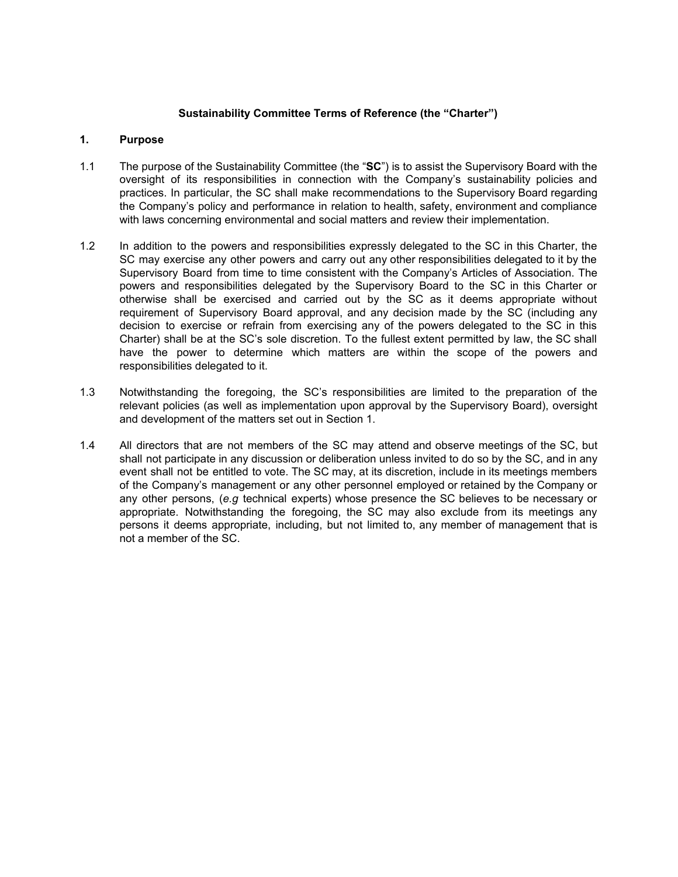## **Sustainability Committee Terms of Reference (the "Charter")**

## **1. Purpose**

- 1.1 The purpose of the Sustainability Committee (the "**SC**") is to assist the Supervisory Board with the oversight of its responsibilities in connection with the Company's sustainability policies and practices. In particular, the SC shall make recommendations to the Supervisory Board regarding the Company's policy and performance in relation to health, safety, environment and compliance with laws concerning environmental and social matters and review their implementation.
- 1.2 In addition to the powers and responsibilities expressly delegated to the SC in this Charter, the SC may exercise any other powers and carry out any other responsibilities delegated to it by the Supervisory Board from time to time consistent with the Company's Articles of Association. The powers and responsibilities delegated by the Supervisory Board to the SC in this Charter or otherwise shall be exercised and carried out by the SC as it deems appropriate without requirement of Supervisory Board approval, and any decision made by the SC (including any decision to exercise or refrain from exercising any of the powers delegated to the SC in this Charter) shall be at the SC's sole discretion. To the fullest extent permitted by law, the SC shall have the power to determine which matters are within the scope of the powers and responsibilities delegated to it.
- 1.3 Notwithstanding the foregoing, the SC's responsibilities are limited to the preparation of the relevant policies (as well as implementation upon approval by the Supervisory Board), oversight and development of the matters set out in Section 1.
- 1.4 All directors that are not members of the SC may attend and observe meetings of the SC, but shall not participate in any discussion or deliberation unless invited to do so by the SC, and in any event shall not be entitled to vote. The SC may, at its discretion, include in its meetings members of the Company's management or any other personnel employed or retained by the Company or any other persons, (*e.g* technical experts) whose presence the SC believes to be necessary or appropriate. Notwithstanding the foregoing, the SC may also exclude from its meetings any persons it deems appropriate, including, but not limited to, any member of management that is not a member of the SC.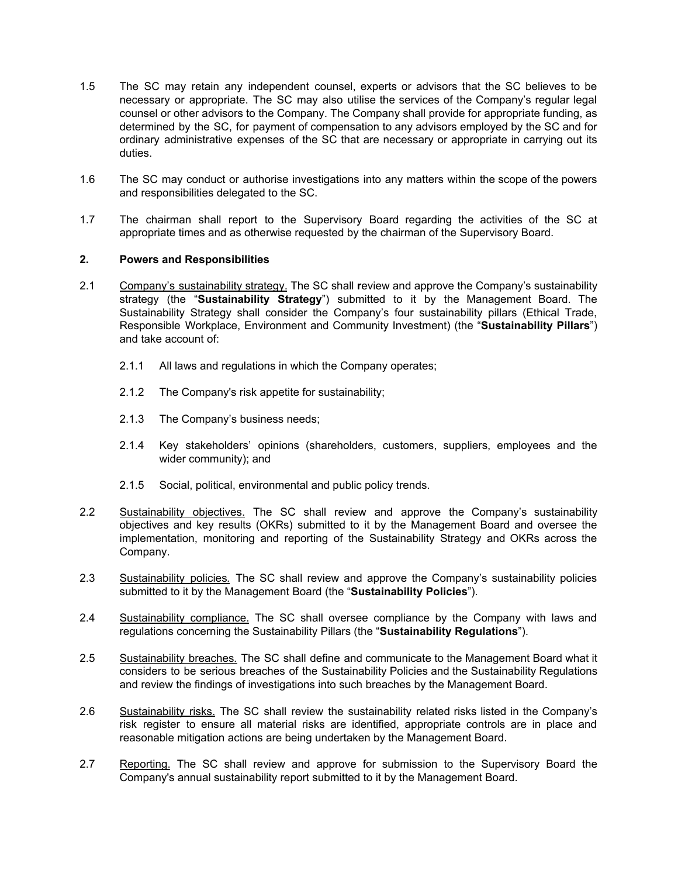- 1.5 The SC may retain any independent counsel, experts or advisors that the SC believes to be necessary or appropriate. The SC may also utilise the services of the Company's regular legal counsel or other advisors to the Company. The Company shall provide for appropriate funding, as determined by the SC, for payment of compensation to any advisors employed by the SC and for ordinary administrative expenses of the SC that are necessary or appropriate in carrying out its duties.
- 1.6 The SC may conduct or authorise investigations into any matters within the scope of the powers and responsibilities delegated to the SC.
- 1.7 The chairman shall report to the Supervisory Board regarding the activities of the SC at appropriate times and as otherwise requested by the chairman of the Supervisory Board.

## **2. Powers and Responsibilities**

- 2.1 Company's sustainability strategy. The SC shall **r**eview and approve the Company's sustainability strategy (the "**Sustainability Strategy**") submitted to it by the Management Board. The Sustainability Strategy shall consider the Company's four sustainability pillars (Ethical Trade, Responsible Workplace, Environment and Community Investment) (the "**Sustainability Pillars**") and take account of:
	- 2.1.1 All laws and regulations in which the Company operates;
	- 2.1.2 The Company's risk appetite for sustainability;
	- 2.1.3 The Company's business needs;
	- 2.1.4 Key stakeholders' opinions (shareholders, customers, suppliers, employees and the wider community); and
	- 2.1.5 Social, political, environmental and public policy trends.
- 2.2 Sustainability objectives. The SC shall review and approve the Company's sustainability objectives and key results (OKRs) submitted to it by the Management Board and oversee the implementation, monitoring and reporting of the Sustainability Strategy and OKRs across the Company.
- 2.3 Sustainability policies*.* The SC shall review and approve the Company's sustainability policies submitted to it by the Management Board (the "**Sustainability Policies**").
- 2.4 Sustainability compliance. The SC shall oversee compliance by the Company with laws and regulations concerning the Sustainability Pillars (the "**Sustainability Regulations**").
- 2.5 Sustainability breaches*.* The SC shall define and communicate to the Management Board what it considers to be serious breaches of the Sustainability Policies and the Sustainability Regulations and review the findings of investigations into such breaches by the Management Board.
- 2.6 Sustainability risks. The SC shall review the sustainability related risks listed in the Company's risk register to ensure all material risks are identified, appropriate controls are in place and reasonable mitigation actions are being undertaken by the Management Board.
- 2.7 Reporting. The SC shall review and approve for submission to the Supervisory Board the Company's annual sustainability report submitted to it by the Management Board.